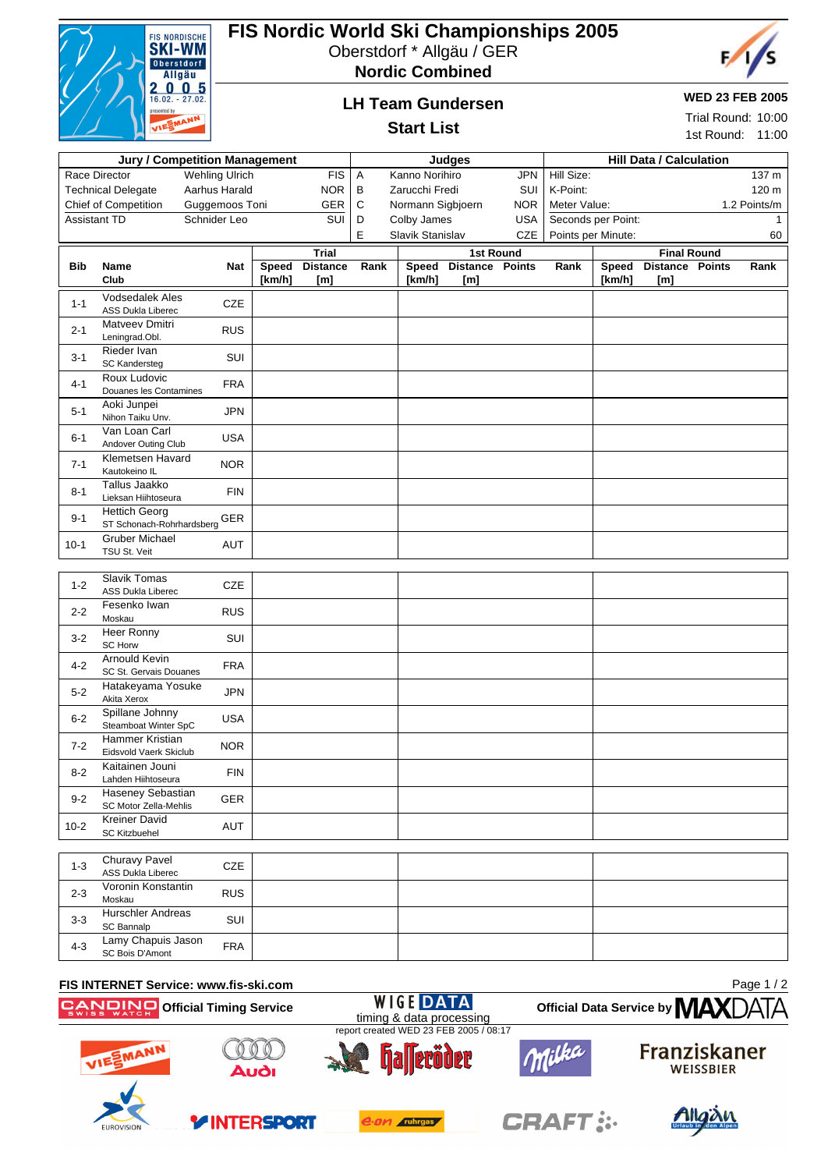

## **FIS Nordic World Ski Championships 2005**

Oberstdorf \* Allgäu / GER



**LH Team Gundersen**



#### **WED 23 FEB 2005**

Trial Round: 10:00

#### **Start List** 1st Round: 11:00 **Jury / Competition Management Judges Hill Data / Calculation** Race Director Wehling Ulrich FIS Technical Delegate Aarhus Harald NOR Chief of Competition Guggemoos Toni GER Assistant TD Schnider Leo SUI A Kanno Norihiro JPN B Zarucchi Fredi SUI C Normann Sigbjoern NOR D Colby James USA E Slavik Stanislav CZE Hill Size: 137 m K-Point: 120 m Meter Value: 1.2 Points/m Seconds per Point: 1 Points per Minute: 60 **Bib Name Club Nat Trial Speed Distance Rank [km/h] [m] 1st Round Speed Distance Points Rank [km/h] [m] Final Round Speed Distance Points Rank [km/h] [m]** 1-1 Vodsedalek Ales vouseualek Ales<br>ASS Dukla Liberec CZE 2-1 Matveev Dmitri **Leningrad.Obl.** RUS 3-1 Rieder Ivan SC Kandersteg SUI 4-1 Roux Ludovic Douanes les Contamines FRA 5-1 Aoki Junpei Nihon Taiku Unv. JPN 6-1 Van Loan Carl van Loan Carl<br>Andover Outing Club USA 7-1 Klemetsen Havard Kiemetsen Havard<br>Kautokeino IL 8-1 Tallus Jaakko Talius Jaakko<br>Lieksan Hiihtoseura FIN 9-1 Hettich Georg ST Schonach-Rohrhardsberg GER 10-1 Gruber Michael Gruber Michael<br>TSU St. Veit AUT 1-2 Slavik Tomas SIAVIK TOMAS<br>ASS Dukla Liberec CZE 2-2 Fesenko Iwan **Feseriko Iwari** RUS<br>Moskau 3-2 Heer Ronny SC Horw SUI 4-2 Arnould Kevin SC St. Gervais Douanes FRA 5-2 Hatakeyama Yosuke Hatakeyama Yosuke JPN<br>Akita Xerox 6-2 Spillane Johnny Spillarie Johnny<br>Steamboat Winter SpC USA 7-2 Hammer Kristian Eidsvold Vaerk Skiclub NOR 8-2 Kaitainen Jouni Kallainen Jouni<br>Lahden Hiihtoseura FIN 9-2 Haseney Sebastian Haseney Sebastian<br>SC Motor Zella-Mehlis GER 10-2 Kreiner David Kreiner David<br>SC Kitzbuehel AUT 1-3 Churavy Pavel Churavy Paver<br>ASS Dukla Liberec CZE 2-3 Voronin Konstantin Moskau RUS 3-3 Hurschler Andreas Hurschler Andreas<br>SUI SC Bannalp 4-3 Lamy Chapuis Jason Larriy Criapuis Jason FRA<br>SC Bois D'Amont

## **FIS INTERNET Service: www.fis-ski.com Official Timing Service**

Page 1 / 2







WIGEDA





**Official Data Service by MAX**